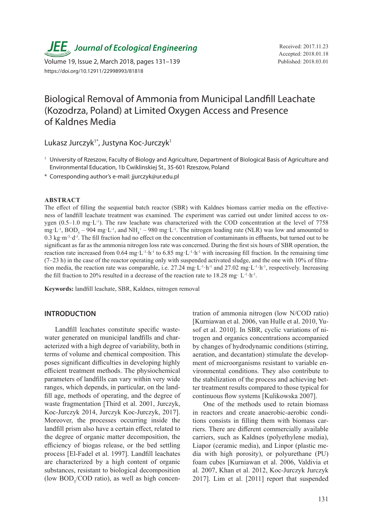*JEE* Journal of Ecological Engineering Received: 2017.11.23

Volume 19, Issue 2, March 2018, pages 131-139 Published: 2018.03.01 https://doi.org/10.12911/22998993/81818

Accepted: 2018.01.18

# Biological Removal of Ammonia from Municipal Landfill Leachate (Kozodrza, Poland) at Limited Oxygen Access and Presence of Kaldnes Media

Lukasz Jurczyk<sup>1\*</sup>, Justyna Koc-Jurczyk<sup>1</sup>

- <sup>1</sup> University of Rzeszow, Faculty of Biology and Agriculture, Department of Biological Basis of Agriculture and Environmental Education, 1b Cwiklinskiej St., 35-601 Rzeszow, Poland
- \* Corresponding author's e-mail: jjurczyk@ur.edu.pl

#### **ABSTRACT**

The effect of filling the sequential batch reactor (SBR) with Kaldnes biomass carrier media on the effectiveness of landfill leachate treatment was examined. The experiment was carried out under limited access to oxygen (0.5–1.0 mg·L<sup>-1</sup>). The raw leachate was characterized with the COD concentration at the level of 7758 mg·L<sup>-1</sup>, BOD<sub>5</sub> – 904 mg·L<sup>-1</sup>, and NH<sub>4</sub><sup>+</sup> – 980 mg·L<sup>-1</sup>. The nitrogen loading rate (NLR) was low and amounted to 0.3 kg·m<sup>-3</sup>·d<sup>-1</sup>. The fill fraction had no effect on the concentration of contaminants in effluents, but turned out to be significant as far as the ammonia nitrogen loss rate was concerned. During the first six hours of SBR operation, the reaction rate increased from 0.64 mg·L<sup>-1</sup>·h<sup>-1</sup> to 6.85 mg·L<sup>-1</sup>·h<sup>-1</sup> with increasing fill fraction. In the remaining time  $(7-23 h)$  in the case of the reactor operating only with suspended activated sludge, and the one with 10% of filtration media, the reaction rate was comparable, i.e. 27.24 mg·L<sup>-1</sup>·h<sup>-1</sup> and 27.02 mg·L<sup>-1</sup>·h<sup>-1</sup>, respectively. Increasing the fill fraction to 20% resulted in a decrease of the reaction rate to 18.28 mg·  $L^{-1} \cdot h^{-1}$ .

**Keywords:** landfill leachate, SBR, Kaldnes, nitrogen removal

#### **INTRODUCTION**

Landfill leachates constitute specific wastewater generated on municipal landfills and characterized with a high degree of variability, both in terms of volume and chemical composition. This poses significant difficulties in developing highly efficient treatment methods. The physiochemical parameters of landfills can vary within very wide ranges, which depends, in particular, on the landfill age, methods of operating, and the degree of waste fragmentation [Third et al. 2001, Jurczyk, Koc-Jurczyk 2014, Jurczyk Koc-Jurczyk, 2017]. Moreover, the processes occurring inside the landfill prism also have a certain effect, related to the degree of organic matter decomposition, the efficiency of biogas release, or the bed settling process [El-Fadel et al. 1997]. Landfill leachates are characterized by a high content of organic substances, resistant to biological decomposition (low  $BOD<sub>5</sub>/COD$  ratio), as well as high concentration of ammonia nitrogen (low N/COD ratio) [Kurniawan et al. 2006, van Hulle et al. 2010, Yusof et al. 2010]. In SBR, cyclic variations of nitrogen and organics concentrations accompanied by changes of hydrodynamic conditions (stirring, aeration, and decantation) stimulate the development of microorganisms resistant to variable environmental conditions. They also contribute to the stabilization of the process and achieving better treatment results compared to those typical for continuous flow systems [Kulikowska 2007].

One of the methods used to retain biomass in reactors and create anaerobic-aerobic conditions consists in filling them with biomass carriers. There are different commercially available carriers, such as Kaldnes (polyethylene media), Liapor (ceramic media), and Linpor (plastic media with high porosity), or polyurethane (PU) foam cubes [Kurniawan et al. 2006, Valdivia et al. 2007, Khan et al. 2012, Koc-Jurczyk Jurczyk 2017]. Lim et al. [2011] report that suspended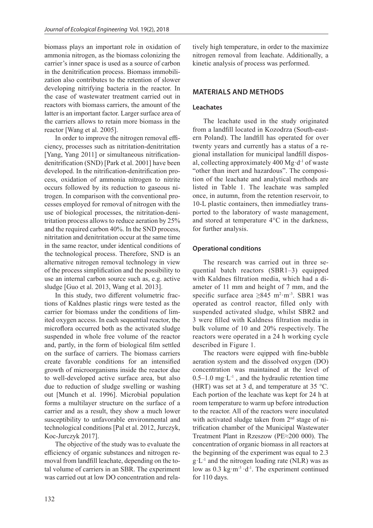biomass plays an important role in oxidation of ammonia nitrogen, as the biomass colonizing the carrier's inner space is used as a source of carbon in the denitrification process. Biomass immobilization also contributes to the retention of slower developing nitrifying bacteria in the reactor. In the case of wastewater treatment carried out in reactors with biomass carriers, the amount of the latter is an important factor. Larger surface area of the carriers allows to retain more biomass in the reactor [Wang et al. 2005].

In order to improve the nitrogen removal efficiency, processes such as nitritation-denitritation [Yang, Yang 2011] or simultaneous nitrificationdenitrification (SND) [Park et al. 2001] have been developed. In the nitrification-denitrification process, oxidation of ammonia nitrogen to nitrite occurs followed by its reduction to gaseous nitrogen. In comparison with the conventional processes employed for removal of nitrogen with the use of biological processes, the nitritation-denitritation process allows to reduce aeration by 25% and the required carbon 40%. In the SND process, nitritation and denitritation occur at the same time in the same reactor, under identical conditions of the technological process. Therefore, SND is an alternative nitrogen removal technology in view of the process simplification and the possibility to use an internal carbon source such as, e.g. active sludge [Guo et al. 2013, Wang et al. 2013].

In this study, two different volumetric fractions of Kaldnes plastic rings were tested as the carrier for biomass under the conditions of limited oxygen access. In each sequential reactor, the microflora occurred both as the activated sludge suspended in whole free volume of the reactor and, partly, in the form of biological film settled on the surface of carriers. The biomass carriers create favorable conditions for an intensified growth of microorganisms inside the reactor due to well-developed active surface area, but also due to reduction of sludge swelling or washing out [Munch et al. 1996]. Microbial population forms a multilayer structure on the surface of a carrier and as a result, they show a much lower susceptibility to unfavorable environmental and technological conditions [Pal et al. 2012, Jurczyk, Koc-Jurczyk 2017].

The objective of the study was to evaluate the efficiency of organic substances and nitrogen removal from landfill leachate, depending on the total volume of carriers in an SBR. The experiment was carried out at low DO concentration and relatively high temperature, in order to the maximize nitrogen removal from leachate. Additionally, a kinetic analysis of process was performed.

# **MATERIALS AND METHODS**

## **Leachates**

The leachate used in the study originated from a landfill located in Kozodrza (South-eastern Poland). The landfill has operated for over twenty years and currently has a status of a regional installation for municipal landfill disposal, collecting approximately  $400 \text{ Mg} \cdot d^{-1}$  of waste "other than inert and hazardous". The composition of the leachate and analytical methods are listed in Table 1. The leachate was sampled once, in autumn, from the retention reservoir, to 10-L plastic containers, then immediatley transported to the laboratory of waste management, and stored at temperature 4°C in the darkness, for further analysis.

## **Operational conditions**

The research was carried out in three sequential batch reactors (SBR1–3) equipped with Kaldnes filtration media, which had a diameter of 11 mm and height of 7 mm, and the specific surface area  $\geq 845$  m<sup>2</sup>·m<sup>-3</sup>. SBR1 was operated as control reactor, filled only with suspended activated sludge, whilst SBR2 and 3 were filled with Kaldness filtration media in bulk volume of 10 and 20% respectively. The reactors were operated in a 24 h working cycle described in Figure 1.

The reactors were eqipped with fine-bubble aeration system and the dissolved oxygen (DO) concentration was maintained at the level of  $0.5-1.0$  mg·L<sup>-1</sup>, and the hydraulic retention time (HRT) was set at 3 d, and temperature at 35 °C. Each portion of the leachate was kept for 24 h at room temperature to warm up before introduction to the reactor. All of the reactors were inoculated with activated sludge taken from 2<sup>nd</sup> stage of nitrification chamber of the Municipal Wastewater Treatment Plant in Rzeszow (PE≈200 000). The concentration of organic biomass in all reactors at the beginning of the experiment was equal to 2.3  $g \cdot L^{-1}$  and the nitrogen loading rate (NLR) was as low as  $0.3 \text{ kg} \cdot \text{m}^{-3} \cdot \text{d}^{-1}$ . The experiment continued for 110 days.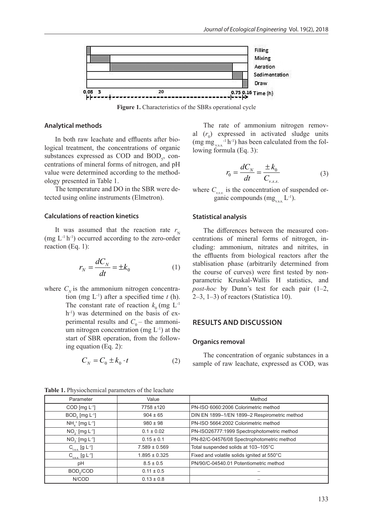

**Figure 1.** Characteristics of the SBRs operational cycle

#### **Analytical methods**

In both raw leachate and effluents after biological treatment, the concentrations of organic substances expressed as COD and  $BOD<sub>5</sub>$ , concentrations of mineral forms of nitrogen, and pH value were determined according to the methodology presented in Table 1.

The temperature and DO in the SBR were detected using online instruments (Elmetron).

#### **Calculations of reaction kinetics**

It was assumed that the reaction rate  $r_{\rm N}$ (mg  $L^{-1}$  h<sup>-1</sup>) occurred according to the zero-order reaction (Eq. 1):

$$
r_N = \frac{dC_N}{dt} = \pm k_0 \tag{1}
$$

where  $C_{N}$  is the ammonium nitrogen concentration (mg L-1) after a specified time *t* (h). The constant rate of reaction  $k_0$  (mg L<sup>-1</sup>) h<sup>-1</sup>) was determined on the basis of experimental results and  $C_0$  – the ammonium nitrogen concentration (mg  $L^{-1}$ ) at the start of SBR operation, from the following equation (Eq. 2):

$$
C_N = C_0 \pm k_0 \cdot t \tag{2}
$$

The rate of ammonium nitrogen removal  $(r_0)$  expressed in activated sludge units  $(mg mg<sub>v.s.s.</sub><sup>-1</sup> h<sup>-1</sup>)$  has been calculated from the following formula (Eq. 3):

$$
r_0 = \frac{dC_N}{dt} = \frac{\pm k_0}{C_{v.s.s.}}\tag{3}
$$

where  $C_{\text{vss}}$  is the concentration of suspended organic compounds  $(mg_{\text{gas}} L^{-1})$ .

#### **Statistical analysis**

The differences between the measured concentrations of mineral forms of nitrogen, including: ammonium, nitrates and nitrites, in the effluents from biological reactors after the stablisation phase (arbitrarily determined from the course of curves) were first tested by nonparametric Kruskal-Wallis H statistics, and *post-hoc* by Dunn's test for each pair (1–2, 2–3, 1–3) of reactors (Statistica 10).

## **RESULTS AND DISCUSSION**

#### **Organics removal**

The concentration of organic substances in a sample of raw leachate, expressed as COD, was

| Parameter                              | Value             | Method                                       |  |  |  |
|----------------------------------------|-------------------|----------------------------------------------|--|--|--|
| COD [ $mg L^{-1}$ ]                    | 7758 ±120         | PN-ISO 6060:2006 Colorimetric method         |  |  |  |
| $BOD5$ [mg L <sup>-1</sup> ]           | $904 \pm 65$      | DIN EN 1899-1/EN 1899-2 Respirometric method |  |  |  |
| $NH4+ [mg L-1]$                        | $980 \pm 98$      | PN-ISO 5664:2002 Colorimetric method         |  |  |  |
| $NO_2^-$ [mg $L^{-1}$ ]                | $0.1 \pm 0.02$    | PN-ISO26777:1999 Spectrophotometric method   |  |  |  |
| $NO3$ [mg L <sup>-1</sup> ]            | $0.15 \pm 0.1$    | PN-82/C-04576/08 Spectrophotometric method   |  |  |  |
| $C_{\text{t.s.}}$ [g L <sup>-1</sup> ] | $7.589 \pm 0.569$ | Total suspended solids at 103-105°C          |  |  |  |
| $C_{_{V.S.S.}}$ [g L <sup>-1</sup> ]   | $1.895 \pm 0.325$ | Fixed and volatile solids ignited at 550°C   |  |  |  |
| $8.5 \pm 0.5$<br>рH                    |                   | PN/90/C-04540.01 Potentiometric method       |  |  |  |
| BOD <sub>s</sub> /COD                  | $0.11 \pm 0.5$    |                                              |  |  |  |
| N/COD                                  |                   |                                              |  |  |  |

**Table 1.** Physiochemical parameters of the leachate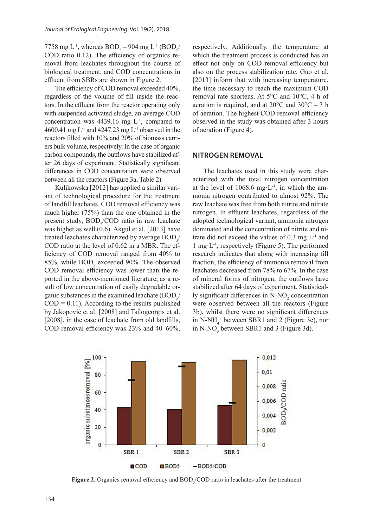7758 mg L<sup>-1</sup>, whereas  $BOD_5 - 904$  mg L<sup>-1</sup> (BOD<sub>5</sub>/ COD ratio 0.12). The efficiency of organics removal from leachates throughout the course of biological treatment, and COD concentrations in effluent from SBRs are shown in Figure 2.

The efficiency of COD removal exceeded 40%, regardless of the volume of fill inside the reactors. In the effluent from the reactor operating only with suspended activated sludge, an average COD concentration was 4439.16 mg L-1, compared to 4600.41 mg L<sup>-1</sup> and 4247.23 mg L<sup>-1</sup> observed in the reactors filled with 10% and 20% of biomass carriers bulk volume, respectively. In the case of organic carbon compounds, the outflows have stabilized after 26 days of experiment. Statistically significant differences in COD concentration were observed between all the reactors (Figure 3a, Table 2).

Kulikowska [2012] has applied a similar variant of technological procedure for the treatment of landfill leachates. COD removal efficiency was much higher (75%) than the one obtained in the present study,  $BOD<sub>5</sub>/COD$  ratio in raw leachate was higher as well (0.6). Akgul et al. [2013] have treated leachates characterized by average  $\text{BOD}_{\varsigma^{\prime}}$ COD ratio at the level of 0.62 in a MBR. The efficiency of COD removal ranged from 40% to 85%, while  $BOD<sub>5</sub>$  exceeded 90%. The observed COD removal efficiency was lower than the reported in the above-mentioned literature, as a result of low concentration of easily degradable organic substances in the examined leachate  $(BOD<sub>s</sub>/$  $COD = 0.11$ ). According to the results published by Jakopović et al. [2008] and Tsilogeorgis et al. [2008], in the case of leachate from old landfills, COD removal efficiency was 23% and 40–60%,

respectively. Additionally, the temperature at which the treatment process is conducted has an effect not only on COD removal efficiency but also on the process stabilization rate. Guo et al. [2013] inform that with increasing temperature, the time necessary to reach the maximum COD removal rate shortens. At 5°C and 10°C, 4 h of aeration is required, and at  $20^{\circ}$ C and  $30^{\circ}$ C – 3 h of aeration. The highest COD removal efficiency observed in the study was obtained after 3 hours of aeration (Figure 4).

### **NITROGEN REMOVAL**

The leachates used in this study were characterized with the total nitrogen concentration at the level of 1068.6 mg·L<sup>-1</sup>, in which the ammonia nitrogen contributed to almost 92%. The raw leachate was free from both nitrite and nitrate nitrogen. In effluent leachates, regardless of the adopted technological variant, ammonia nitrogen dominated and the concentration of nitrite and nitrate did not exceed the values of  $0.3 \text{ mg} \cdot L^{-1}$  and 1 mg·L<sup>-1</sup>, respectively (Figure 5). The performed research indicates that along with increasing fill fraction, the efficiency of ammonia removal from leachates decreased from 78% to 67%. In the case of mineral forms of nitrogen, the outflows have stabilized after 64 days of experiment. Statistically significant differences in  $N-NO_2$  concentration were observed between all the reactors (Figure 3b), whilst there were no significant differences in N-NH $_4^+$  between SBR1 and 2 (Figure 3c), nor in N-NO<sub>3</sub> between SBR1 and 3 (Figure 3d).



**Figure 2.** Organics removal efficiency and  $BOD<sub>5</sub>/COD$  ratio in leachates after the treatment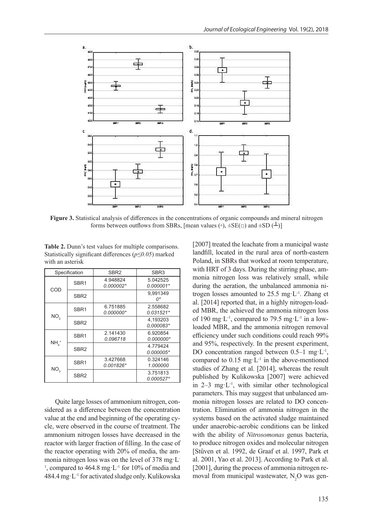

**Figure 3.** Statistical analysis of differences in the concentrations of organic compounds and mineral nitrogen forms between outflows from SBRs, [mean values ( $\circ$ ),  $\pm$ SE( $\Box$ ) and  $\pm$ SD( $\bot$ )]

**Table 2.** Dunn's test values for multiple comparisons. Statistically significant differences (*p≤0.05*) marked with an asterisk

| Specification      |                  | SBR <sub>2</sub>        | SBR <sub>3</sub>        |  |  |
|--------------------|------------------|-------------------------|-------------------------|--|--|
| COD                | SBR <sub>1</sub> | 4.948824<br>$0.000002*$ | 5.042525<br>0.000001*   |  |  |
|                    | SBR <sub>2</sub> |                         | 9.991349<br>0*          |  |  |
| NO <sub>2</sub>    | SBR <sub>1</sub> | 6.751885<br>$0.000000*$ | 2.558682<br>$0.031521*$ |  |  |
|                    | SBR <sub>2</sub> |                         | 4.193203<br>0.000083*   |  |  |
| $NHA$ <sup>+</sup> | SBR <sub>1</sub> | 2.141430<br>0.096718    | 6.920854<br>$0.000000*$ |  |  |
|                    | SBR <sub>2</sub> |                         | 4.779424<br>0.000005*   |  |  |
| NO <sub>3</sub>    | SBR <sub>1</sub> | 3.427668<br>0.001826*   | 0.324146<br>1.000000    |  |  |
|                    | SBR <sub>2</sub> |                         | 3.751813<br>0.000527*   |  |  |

Quite large losses of ammonium nitrogen, considered as a difference between the concentration value at the end and beginning of the operating cycle, were observed in the course of treatment. The ammonium nitrogen losses have decreased in the reactor with larger fraction of filling. In the case of the reactor operating with 20% of media, the ammonia nitrogen loss was on the level of 378 mg·L-<sup>1</sup>, compared to 464.8 mg·L<sup>-1</sup> for 10% of media and 484.4 mg·L-1 for activated sludge only. Kulikowska

[2007] treated the leachate from a municipal waste landfill, located in the rural area of north-eastern Poland, in SBRs that worked at room temperature, with HRT of 3 days. During the stirring phase, ammonia nitrogen loss was relatively small, while during the aeration, the unbalanced ammonia nitrogen losses amounted to  $25.5$  mg·L<sup>-1</sup>. Zhang et al. [2014] reported that, in a highly nitrogen-loaded MBR, the achieved the ammonia nitrogen loss of 190 mg·L<sup>-1</sup>, compared to 79.5 mg·L<sup>-1</sup> in a lowloaded MBR, and the ammonia nitrogen removal efficiency under such conditions could reach 99% and 95%, respectively. In the present experiment, DO concentration ranged between  $0.5-1$  mg·L<sup>-1</sup>, compared to  $0.15 \text{ mg} \cdot L^{-1}$  in the above-mentioned studies of Zhang et al. [2014], whereas the result published by Kulikowska [2007] were achieved in  $2-3$  mg·L<sup>-1</sup>, with similar other technological parameters. This may suggest that unbalanced ammonia nitrogen losses are related to DO concentration. Elimination of ammonia nitrogen in the systems based on the activated sludge maintained under anaerobic-aerobic conditions can be linked with the ability of *Nitrosomonas* genus bacteria, to produce nitrogen oxides and molecular nitrogen [Stűven et al. 1992, de Graaf et al. 1997, Park et al. 2001, Yao et al. 2013]. According to Park et al. [2001], during the process of ammonia nitrogen removal from municipal wastewater,  $N_2O$  was gen-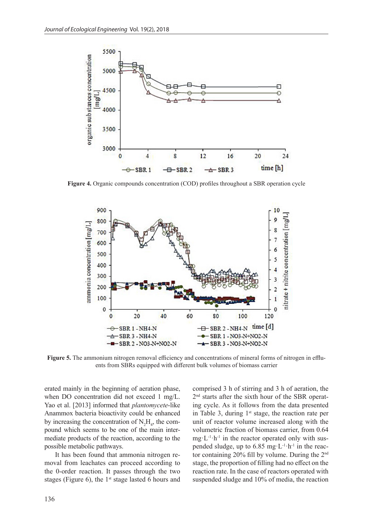

**Figure 4.** Organic compounds concentration (COD) profiles throughout a SBR operation cycle

![](_page_5_Figure_3.jpeg)

**Figure 5.** The ammonium nitrogen removal efficiency and concentrations of mineral forms of nitrogen in effluents from SBRs equipped with different bulk volumes of biomass carrier

erated mainly in the beginning of aeration phase, when DO concentration did not exceed 1 mg/L. Yao et al. [2013] informed that *plantomycete*-like Anammox bacteria bioactivity could be enhanced by increasing the concentration of  $N_2H_4$ , the compound which seems to be one of the main intermediate products of the reaction, according to the possible metabolic pathways.

It has been found that ammonia nitrogen removal from leachates can proceed according to the 0-order reaction. It passes through the two stages (Figure 6), the  $1<sup>st</sup>$  stage lasted 6 hours and

comprised 3 h of stirring and 3 h of aeration, the 2nd starts after the sixth hour of the SBR operating cycle. As it follows from the data presented in Table 3, during  $1<sup>st</sup>$  stage, the reaction rate per unit of reactor volume increased along with the volumetric fraction of biomass carrier, from 0.64  $mg \cdot L^{-1} \cdot h^{-1}$  in the reactor operated only with suspended sludge, up to 6.85 mg·L<sup>-1</sup>·h<sup>-1</sup> in the reactor containing 20% fill by volume. During the 2nd stage, the proportion of filling had no effect on the reaction rate. In the case of reactors operated with suspended sludge and 10% of media, the reaction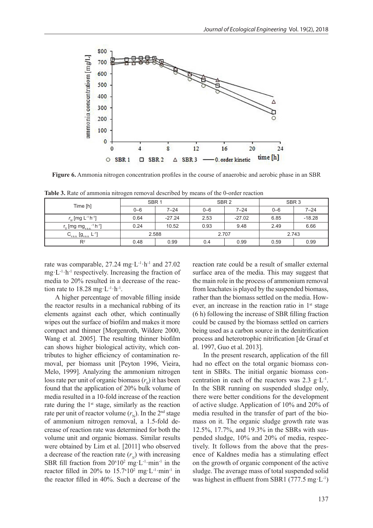![](_page_6_Figure_1.jpeg)

**Figure 6.** Ammonia nitrogen concentration profiles in the course of anaerobic and aerobic phase in an SBR

|  |  | <b>Table 3.</b> Rate of ammonia nitrogen removal described by means of the 0-order reaction |  |  |  |
|--|--|---------------------------------------------------------------------------------------------|--|--|--|
|  |  |                                                                                             |  |  |  |

| Time [h]                                                      | SBR <sub>1</sub> |          |         | SBR <sub>2</sub> | SBR <sub>3</sub> |          |  |
|---------------------------------------------------------------|------------------|----------|---------|------------------|------------------|----------|--|
|                                                               | $0 - 6$          | $7 - 24$ | $0 - 6$ | $7 - 24$         | $0 - 6$          | $7 - 24$ |  |
| $r_{N}$ [mg L <sup>-1</sup> h <sup>-1</sup> ]                 | 0.64             | $-27.24$ | 2.53    | $-27.02$         | 6.85             | $-18.28$ |  |
| $r_0$ [mg mg <sub>vs.s.</sub> <sup>-1</sup> h <sup>-1</sup> ] | 0.24             | 10.52    | 0.93    | 9.48             | 2.49             | 6.66     |  |
| $  -11$<br>$C_{_{V.S.S.}}$ $[g_{_{V.S.S.}}]$                  | 2.588            |          | 2.707   |                  | 2.743            |          |  |
| $R^2$                                                         | 0.48             | 0.99     | 0.4     | 0.99             | 0.59             | 0.99     |  |

rate was comparable,  $27.24 \text{ mg} \cdot L^{-1} \cdot h^{-1}$  and  $27.02$  $mg \cdot L^{-1} \cdot h^{-1}$  respectively. Increasing the fraction of media to 20% resulted in a decrease of the reaction rate to  $18.28$  mg·L<sup>-1</sup>·h<sup>-1</sup>.

A higher percentage of movable filling inside the reactor results in a mechanical rubbing of its elements against each other, which continually wipes out the surface of biofilm and makes it more compact and thinner [Morgenroth, Wildere 2000, Wang et al. 2005]. The resulting thinner biofilm can shows higher biological activity, which contributes to higher efficiency of contamination removal, per biomass unit [Peyton 1996, Vieira, Melo, 1999]. Analyzing the ammonium nitrogen loss rate per unit of organic biomass  $(r_0)$  it has been found that the application of 20% bulk volume of media resulted in a 10-fold increase of the reaction rate during the  $1<sup>st</sup>$  stage, similarly as the reaction rate per unit of reactor volume  $(r_{\rm N})$ . In the 2<sup>nd</sup> stage of ammonium nitrogen removal, a 1.5-fold decrease of reaction rate was determined for both the volume unit and organic biomass. Similar results were obtained by Lim et al. [2011] who observed a decrease of the reaction rate  $(r<sub>w</sub>)$  with increasing SBR fill fraction from  $20^x 10^2$  mg·L<sup>-1</sup>·min<sup>-1</sup> in the reactor filled in 20% to  $15.7 \times 10^2$  mg·L<sup>-1</sup>·min<sup>-1</sup> in the reactor filled in 40%. Such a decrease of the

reaction rate could be a result of smaller external surface area of the media. This may suggest that the main role in the process of ammonium removal from leachates is played by the suspended biomass, rather than the biomass settled on the media. However, an increase in the reaction ratio in  $1<sup>st</sup>$  stage (6 h) following the increase of SBR filling fraction could be caused by the biomass settled on carriers being used as a carbon source in the denitrification process and heterotrophic nitrification [de Graaf et al. 1997, Guo et al. 2013].

In the present research, application of the fill had no effect on the total organic biomass content in SBRs. The initial organic biomass concentration in each of the reactors was  $2.3 \text{ g} \cdot \text{L}^{-1}$ . In the SBR running on suspended sludge only, there were better conditions for the development of active sludge. Application of 10% and 20% of media resulted in the transfer of part of the biomass on it. The organic sludge growth rate was 12.5%, 17.7%, and 19.3% in the SBRs with suspended sludge, 10% and 20% of media, respectively. It follows from the above that the presence of Kaldnes media has a stimulating effect on the growth of organic component of the active sludge. The average mass of total suspended solid was highest in effluent from SBR1 (777.5 mg·L<sup>-1</sup>)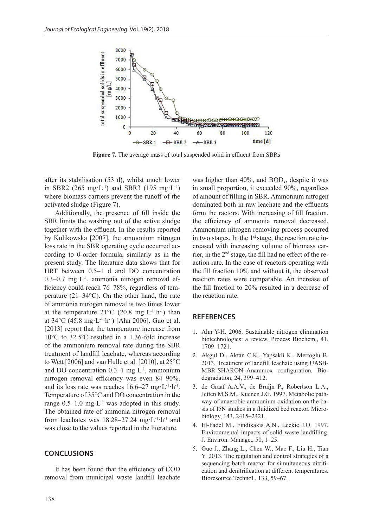![](_page_7_Figure_1.jpeg)

**Figure 7.** The average mass of total suspended solid in effluent from SBRs

after its stabilisation (53 d), whilst much lower in SBR2 (265 mg·L<sup>-1</sup>) and SBR3 (195 mg·L<sup>-1</sup>) where biomass carriers prevent the runoff of the activated sludge (Figure 7).

Additionally, the presence of fill inside the SBR limits the washing out of the active sludge together with the effluent. In the results reported by Kulikowska [2007], the ammonium nitrogen loss rate in the SBR operating cycle occurred according to 0-order formula, similarly as in the present study. The literature data shows that for HRT between 0.5–1 d and DO concentration 0.3–0.7 mg·L<sup>-1</sup>, ammonia nitrogen removal efficiency could reach 76–78%, regardless of temperature (21–34°C). On the other hand, the rate of ammonia nitrogen removal is two times lower at the temperature  $21^{\circ}$ C (20.8 mg·L<sup>-1</sup>·h<sup>-1</sup>) than at 34°C (45.8 mg·L-1·h-1) [Ahn 2006]. Guo et al. [2013] report that the temperature increase from 10°C to 32.5ºC resulted in a 1.36-fold increase of the ammonium removal rate during the SBR treatment of landfill leachate, whereas according to Wett [2006] and van Hulle et al. [2010], at 25°C and DO concentration  $0.3-1$  mg  $L^{-1}$ , ammonium nitrogen removal efficiency was even 84–90%, and its loss rate was reaches  $16.6-27$  mg·L<sup>-1</sup>·h<sup>-1</sup>. Temperature of 35°C and DO concentration in the range  $0.5-1.0$  mg·L<sup>-1</sup> was adopted in this study. The obtained rate of ammonia nitrogen removal from leachates was  $18.28 - 27.24$  mg·L<sup>-1</sup>·h<sup>-1</sup> and was close to the values reported in the literature.

#### **CONCLUSIONS**

It has been found that the efficiency of COD removal from municipal waste landfill leachate was higher than  $40\%$ , and  $BOD<sub>5</sub>$ , despite it was in small proportion, it exceeded 90%, regardless of amount of filling in SBR. Ammonium nitrogen dominated both in raw leachate and the effluents form the ractors. With increasing of fill fraction, the efficiency of ammonia removal decreased. Ammonium nitrogen removing process occurred in two stages. In the  $1<sup>st</sup>$  stage, the reaction rate increased with increasing volume of biomass carrier, in the 2nd stage, the fill had no effect of the reaction rate. In the case of reactors operating with the fill fraction 10% and without it, the observed reaction rates were comparable. An increase of the fill fraction to 20% resulted in a decrease of the reaction rate.

#### **REFERENCES**

- 1. Ahn Y-H. 2006. Sustainable nitrogen elimination biotechnologies: a review. Process Biochem., 41, 1709–1721.
- 2. Akgul D., Aktan C.K., Yapsakli K., Mertoglu B. 2013. Treatment of landfill leachate using UASB-MBR-SHARON–Anammox configuration. Biodegradation, 24, 399–412.
- 3. de Graaf A.A.V., de Bruijn P., Robertson L.A., Jetten M.S.M., Kuenen J.G. 1997. Metabolic pathway of anaerobic ammonium oxidation on the basis of I5N studies in a fluidized bed reactor. Microbiology, 143, 2415–2421.
- 4. El-Fadel M., Findikakis A.N., Leckie J.O. 1997. Environmental impacts of solid waste landfilling. J. Environ. Manage., 50, 1–25.
- 5. Guo J., Zhang L., Chen W., Mac F., Liu H., Tian Y. 2013. The regulation and control strategies of a sequencing batch reactor for simultaneous nitrification and denitrification at different temperatures. Bioresource Technol., 133, 59–67.